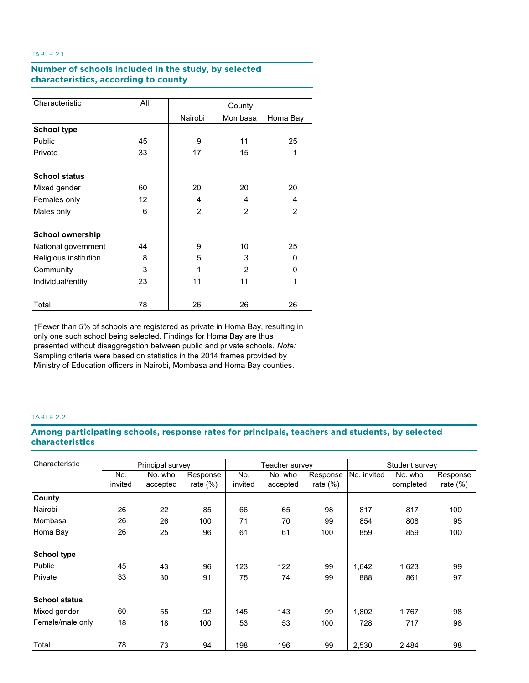# **TABLE 2.1. Number of schools included in the study, by selected Number of schools included in the study, by selected characteristics, according to county characteristics, according to county**

| Characteristic          | All | County         |         |                |  |
|-------------------------|-----|----------------|---------|----------------|--|
|                         |     | Nairobi        | Mombasa | Homa Bayt      |  |
| <b>School type</b>      |     |                |         |                |  |
| Public                  | 45  | 9              | 11      | 25             |  |
| Private                 | 33  | 17             | 15      | 1              |  |
| <b>School status</b>    |     |                |         |                |  |
| Mixed gender            | 60  | 20             | 20      | 20             |  |
| Females only            | 12  | 4              | 4       | 4              |  |
| Males only              | 6   | $\overline{2}$ | 2       | $\overline{2}$ |  |
| <b>School ownership</b> |     |                |         |                |  |
| National government     | 44  | 9              | 10      | 25             |  |
| Religious institution   | 8   | 5              | 3       | 0              |  |
| Community               | 3   | 1              | 2       | 0              |  |
| Individual/entity       | 23  | 11             | 11      | 1              |  |
| Total                   | 78  | 26             | 26      | 26             |  |

†Fewer than 5% of schools are registered as private in Homa Bay, resulting in only one such school being selected. Findings for Homa Bay are thus presented without disaggregation between public and private schools. *Note:*  Sampling criteria were based on statistics in the 2014 frames provided by Ministry of Education officers in Nairobi, Mombasa and Homa Bay counties.

## TABLE 2.2

# **TABLE 2.2. Among participating schools, response rates for principals, teachers and students, by selected characteristics characteristicsAmong participating schools, response rates for principals, teachers and students, by selected**

| Characteristic       | Principal survey |          |             | Teacher survey |          |             | Student survey |           |             |
|----------------------|------------------|----------|-------------|----------------|----------|-------------|----------------|-----------|-------------|
|                      | No.              | No. who  | Response    | No.            | No. who  | Response    | No. invited    | No. who   | Response    |
|                      | invited          | accepted | rate $(\%)$ | invited        | accepted | rate $(\%)$ |                | completed | rate $(\%)$ |
| County               |                  |          |             |                |          |             |                |           |             |
| Nairobi              | 26               | 22       | 85          | 66             | 65       | 98          | 817            | 817       | 100         |
| Mombasa              | 26               | 26       | 100         | 71             | 70       | 99          | 854            | 808       | 95          |
| Homa Bay             | 26               | 25       | 96          | 61             | 61       | 100         | 859            | 859       | 100         |
| <b>School type</b>   |                  |          |             |                |          |             |                |           |             |
| Public               | 45               | 43       | 96          | 123            | 122      | 99          | 1,642          | 1,623     | 99          |
| Private              | 33               | 30       | 91          | 75             | 74       | 99          | 888            | 861       | 97          |
| <b>School status</b> |                  |          |             |                |          |             |                |           |             |
| Mixed gender         | 60               | 55       | 92          | 145            | 143      | 99          | 1,802          | 1,767     | 98          |
| Female/male only     | 18               | 18       | 100         | 53             | 53       | 100         | 728            | 717       | 98          |
| Total                | 78               | 73       | 94          | 198            | 196      | 99          | 2,530          | 2,484     | 98          |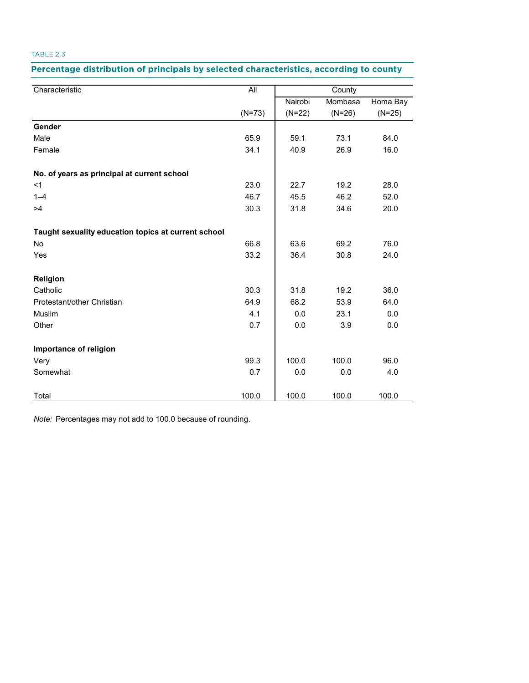## Percentage distribution of principals by selected characteristics, according to county

| Characteristic                                      | All      | County   |          |          |
|-----------------------------------------------------|----------|----------|----------|----------|
|                                                     |          | Nairobi  | Mombasa  | Homa Bay |
|                                                     | $(N=73)$ | $(N=22)$ | $(N=26)$ | $(N=25)$ |
| Gender                                              |          |          |          |          |
| Male                                                | 65.9     | 59.1     | 73.1     | 84.0     |
| Female                                              | 34.1     | 40.9     | 26.9     | 16.0     |
| No. of years as principal at current school         |          |          |          |          |
| $<$ 1                                               | 23.0     | 22.7     | 19.2     | 28.0     |
| $1 - 4$                                             | 46.7     | 45.5     | 46.2     | 52.0     |
| >4                                                  | 30.3     | 31.8     | 34.6     | 20.0     |
| Taught sexuality education topics at current school |          |          |          |          |
| No                                                  | 66.8     | 63.6     | 69.2     | 76.0     |
| Yes                                                 | 33.2     | 36.4     | 30.8     | 24.0     |
| Religion                                            |          |          |          |          |
| Catholic                                            | 30.3     | 31.8     | 19.2     | 36.0     |
| Protestant/other Christian                          | 64.9     | 68.2     | 53.9     | 64.0     |
| Muslim                                              | 4.1      | 0.0      | 23.1     | 0.0      |
| Other                                               | 0.7      | 0.0      | 3.9      | 0.0      |
| Importance of religion                              |          |          |          |          |
| Very                                                | 99.3     | 100.0    | 100.0    | 96.0     |
| Somewhat                                            | 0.7      | 0.0      | 0.0      | 4.0      |
| Total                                               | 100.0    | 100.0    | 100.0    | 100.0    |

*Note:* Percentages may not add to 100.0 because of rounding.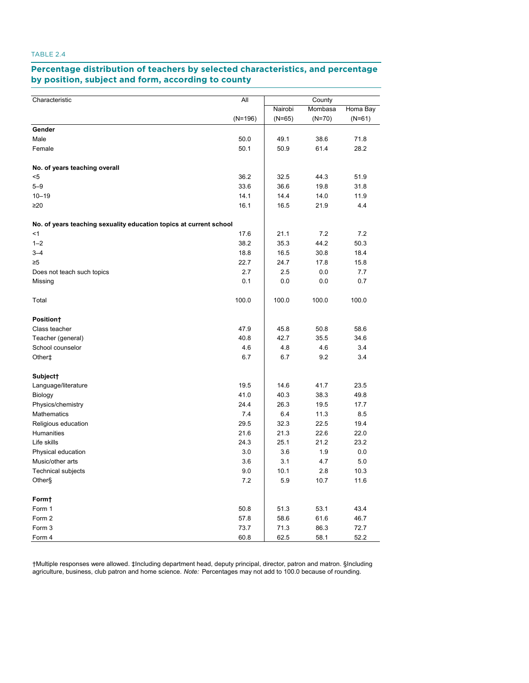#### **Percentage distribution of teachers by selected characteristics, and percentage TABLE 2.4. Percentage distribution of teachers by selected characteristics, and percentage**<br>by position, subject and form, according to county and <mark>position, subject</mark> and

| Characteristic                                                     | All       | County   |          |          |  |
|--------------------------------------------------------------------|-----------|----------|----------|----------|--|
|                                                                    |           | Nairobi  | Mombasa  | Homa Bay |  |
|                                                                    | $(N=196)$ | $(N=65)$ | $(N=70)$ | $(N=61)$ |  |
| Gender                                                             |           |          |          |          |  |
| Male                                                               | 50.0      | 49.1     | 38.6     | 71.8     |  |
| Female                                                             | 50.1      | 50.9     | 61.4     | 28.2     |  |
| No. of years teaching overall                                      |           |          |          |          |  |
| $5$                                                                | 36.2      | 32.5     | 44.3     | 51.9     |  |
| $5 - 9$                                                            | 33.6      | 36.6     | 19.8     | 31.8     |  |
| $10 - 19$                                                          | 14.1      | 14.4     | 14.0     | 11.9     |  |
| $\geq 20$                                                          | 16.1      | 16.5     | 21.9     | 4.4      |  |
| No. of years teaching sexuality education topics at current school |           |          |          |          |  |
| $<$ 1                                                              | 17.6      | 21.1     | 7.2      | 7.2      |  |
| $1 - 2$                                                            | 38.2      | 35.3     | 44.2     | 50.3     |  |
| $3 - 4$                                                            | 18.8      | 16.5     | 30.8     | 18.4     |  |
| ≥5                                                                 | 22.7      | 24.7     | 17.8     | 15.8     |  |
| Does not teach such topics                                         | 2.7       | 2.5      | 0.0      | 7.7      |  |
| Missing                                                            | 0.1       | 0.0      | 0.0      | 0.7      |  |
| Total                                                              | 100.0     | 100.0    | 100.0    | 100.0    |  |
| Position†                                                          |           |          |          |          |  |
| Class teacher                                                      | 47.9      | 45.8     | 50.8     | 58.6     |  |
| Teacher (general)                                                  | 40.8      | 42.7     | 35.5     | 34.6     |  |
| School counselor                                                   | 4.6       | 4.8      | 4.6      | 3.4      |  |
| Other‡                                                             | 6.7       | 6.7      | 9.2      | 3.4      |  |
| Subject <sup>+</sup>                                               |           |          |          |          |  |
| Language/literature                                                | 19.5      | 14.6     | 41.7     | 23.5     |  |
| Biology                                                            | 41.0      | 40.3     | 38.3     | 49.8     |  |
| Physics/chemistry                                                  | 24.4      | 26.3     | 19.5     | 17.7     |  |
| <b>Mathematics</b>                                                 | 7.4       | 6.4      | 11.3     | 8.5      |  |
| Religious education                                                | 29.5      | 32.3     | 22.5     | 19.4     |  |
| Humanities                                                         | 21.6      | 21.3     | 22.6     | 22.0     |  |
| Life skills                                                        | 24.3      | 25.1     | 21.2     | 23.2     |  |
| Physical education                                                 | 3.0       | 3.6      | 1.9      | 0.0      |  |
| Music/other arts                                                   | 3.6       | 3.1      | 4.7      | 5.0      |  |
| <b>Technical subjects</b>                                          | 9.0       | 10.1     | 2.8      | 10.3     |  |
| Other§                                                             | 7.2       | 5.9      | 10.7     | 11.6     |  |
| Form+                                                              |           |          |          |          |  |
| Form 1                                                             | 50.8      | 51.3     | 53.1     | 43.4     |  |
| Form 2                                                             | 57.8      | 58.6     | 61.6     | 46.7     |  |
| Form 3                                                             | 73.7      | 71.3     | 86.3     | 72.7     |  |
| Form 4                                                             | 60.8      | 62.5     | 58.1     | 52.2     |  |

†Multiple responses were allowed. ‡Including department head, deputy principal, director, patron and matron. §Including agriculture, business, club patron and home science. *Note:* Percentages may not add to 100.0 because of rounding.